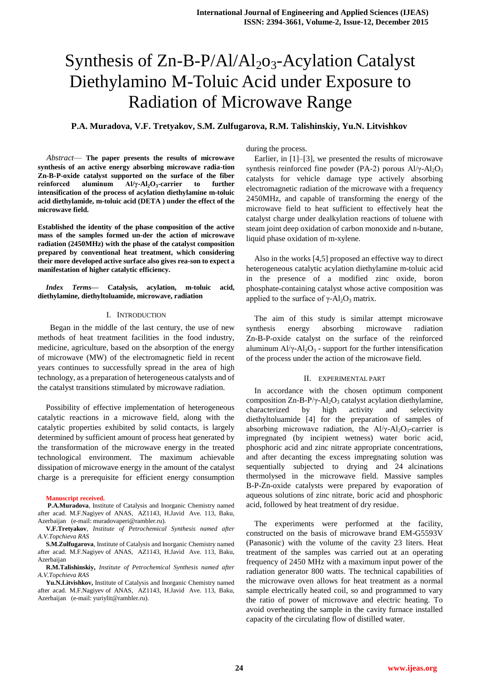# Synthesis of  $Zn-B-P/Al/Al<sub>2</sub>O<sub>3</sub>$ -Acylation Catalyst Diethylamino M-Toluic Acid under Exposure to Radiation of Microwave Range

# **P.A. Muradova, V.F. Tretyakov, S.M. Zulfugarova, R.M. Talishinskiy, Yu.N. Litvishkov**

*Abstract*— **The paper presents the results of microwave synthesis of an active energy absorbing microwave radia-tion Zn-B-P-oxide catalyst supported on the surface of the fiber reinforced aluminum Al/γ-Al2O<sup>3</sup> -carrier to further intensification of the process of acylation diethylamine m-toluic acid diethylamide, m-toluic acid (DETA ) under the effect of the microwave field.**

**Established the identity of the phase composition of the active mass of the samples formed un-der the action of microwave radiation (2450MHz) with the phase of the catalyst composition prepared by conventional heat treatment, which considering their more developed active surface also gives rea-son to expect a manifestation of higher catalytic efficiency.**

*Index Terms***— Catalysis, acylation, m-toluic acid, diethylamine, diethyltoluamide, microwave, radiation**

### I. INTRODUCTION

 Began in the middle of the last century, the use of new methods of heat treatment facilities in the food industry, medicine, agriculture, based on the absorption of the energy of microwave (MW) of the electromagnetic field in recent years continues to successfully spread in the area of high technology, as a preparation of heterogeneous catalysts and of the catalyst transitions stimulated by microwave radiation.

Possibility of effective implementation of heterogeneous catalytic reactions in a microwave field, along with the catalytic properties exhibited by solid contacts, is largely determined by sufficient amount of process heat generated by the transformation of the microwave energy in the treated technological environment. The maximum achievable dissipation of microwave energy in the amount of the catalyst charge is a prerequisite for efficient energy consumption

**Manuscript received.**

**Yu.N.Litvishkov,** Institute of Catalysis and Inorganic Chemistry named after acad. M.F.Nagiyev of ANAS, AZ1143, H.Javid Ave. 113, Baku, Azerbaijan (e-mail: yuriylit@rambler.ru).

during the process.

Earlier, in [1]–[3], we presented the results of microwave synthesis reinforced fine powder (PA-2) porous  $Al/\gamma$ -Al<sub>2</sub>O<sub>3</sub> catalysts for vehicle damage type actively absorbing electromagnetic radiation of the microwave with a frequency 2450MHz, and capable of transforming the energy of the microwave field to heat sufficient to effectively heat the catalyst charge under dealkylation reactions of toluene with steam joint deep oxidation of carbon monoxide and n-butane, liquid phase oxidation of m-xylene.

Also in the works [4,5] proposed an effective way to direct heterogeneous catalytic acylation diethylamine m-toluic acid in the presence of a modified zinc oxide, boron phosphate-containing catalyst whose active composition was applied to the surface of  $\gamma$ -Al<sub>2</sub>O<sub>3</sub> matrix.

The aim of this study is similar attempt microwave synthesis energy absorbing microwave radiation Zn-B-P-oxide catalyst on the surface of the reinforced aluminum  $Al/\gamma$ - $Al_2O_3$  - support for the further intensification of the process under the action of the microwave field.

#### II. EXPERIMENTAL PART

In accordance with the chosen optimum component composition Zn-B-P/ $\gamma$ -Al<sub>2</sub>O<sub>3</sub> catalyst acylation diethylamine, characterized by high activity and selectivity diethyltoluamide [4] for the preparation of samples of absorbing microwave radiation, the  $Al/\gamma$ - $Al_2O_3$ -carrier is impregnated (by incipient wetness) water boric acid, phosphoric acid and zinc nitrate appropriate concentrations, and after decanting the excess impregnating solution was sequentially subjected to drying and 24 alcinations thermolysed in the microwave field. Massive samples B-P-Zn-oxide catalysts were prepared by evaporation of aqueous solutions of zinc nitrate, boric acid and phosphoric acid, followed by heat treatment of dry residue.

The experiments were performed at the facility, constructed on the basis of microwave brand EM-G5593V (Panasonic) with the volume of the cavity 23 liters. Heat treatment of the samples was carried out at an operating frequency of 2450 MHz with a maximum input power of the radiation generator 800 watts. The technical capabilities of the microwave oven allows for heat treatment as a normal sample electrically heated coil, so and programmed to vary the ratio of power of microwave and electric heating. To avoid overheating the sample in the cavity furnace installed capacity of the circulating flow of distilled water.

**P.A.Muradova**, Institute of Catalysis and Inorganic Chemistry named after acad. M.F.Nagiyev of ANAS, AZ1143, H.Javid Ave. 113, Baku, Azerbaijan (e-mail: muradovaperi@rambler.ru).

**V.F.Tretyakov**, *Institute of Petrochemical Synthesis named after A.V.Topchieva RAS*

**S.M.Zulfugarova**, Institute of Catalysis and Inorganic Chemistry named after acad. M.F.Nagiyev of ANAS, AZ1143, H.Javid Ave. 113, Baku, Azerbaijan

**R.M.Talishinskiy,** *Institute of Petrochemical Synthesis named after A.V.Topchieva RAS*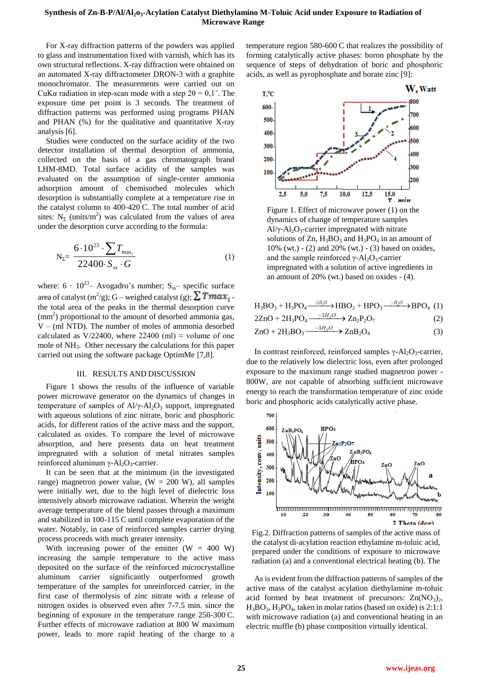# **Synthesis of Zn-B-P/Al/Al2o3-Acylation Catalyst Diethylamino M-Toluic Acid under Exposure to Radiation of Microwave Range**

For X-ray diffraction patterns of the powders was applied to glass and instrumentation fixed with varnish, which has its own structural reflections. X-ray diffraction were obtained on an automated X-ray diffractometer DRON-3 with a graphite monochromator. The measurements were carried out on CuKα radiation in step-scan mode with a step 2θ = 0,1˚. The exposure time per point is 3 seconds. The treatment of diffraction patterns was performed using programs PHAN and PHAN (%) for the qualitative and quantitative X-ray analysis [6].

Studies were conducted on the surface acidity of the two detector installation of thermal desorption of ammonia, collected on the basis of a gas chromatograph brand LHM-8MD. Total surface acidity of the samples was evaluated on the assumption of single-center ammonia adsorption amount of chemisorbed molecules which desorption is substantially complete at a temperature rise in the catalyst column to  $400-420^{\circ}$ C. The total number of acid sites:  $N_{\Sigma}$  (units/m<sup>2</sup>) was calculated from the values of area under the desorption curve according to the formula:

$$
N_{\Sigma} = \frac{6 \cdot 10^{23} \cdot \sum T_{\max_i}}{22400 \cdot S_{ss} \cdot G}
$$
 (1)

where:  $6 \cdot 10^{23}$  Avogadro's number;  $S_{ss}$  specific surface area of catalyst (m<sup>2</sup>/g); G – weighed catalyst (g);  $\sum T max_i$ . the total area of the peaks in the thermal desorption curve (mm<sup>2</sup>) proportional to the amount of desorbed ammonia gas, V – (ml NTD). The number of moles of ammonia desorbed calculated as V/22400, where 22400 (ml)  $\approx$  volume of one mole of NH3. Other necessary the calculations for this paper carried out using the software package OptimMe [7,8].

#### III. RESULTS AND DISCUSSION

Figure 1 shows the results of the influence of variable power microwave generator on the dynamics of changes in temperature of samples of  $Al/\gamma$ - $Al_2O_3$  support, impregnated with aqueous solutions of zinc nitrate, boric and phosphoric acids, for different ratios of the active mass and the support, calculated as oxides. To compare the level of microwave absorption, and here presents data on heat treatment impregnated with a solution of metal nitrates samples reinforced aluminum γ-Al<sub>2</sub>O<sub>3</sub>-carrier.

It can be seen that at the minimum (in the investigated range) magnetron power value,  $(W = 200 W)$ , all samples were initially wet, due to the high level of dielectric loss intensively absorb microwave radiation. Wherein the weight average temperature of the blend passes through a maximum and stabilized in  $100-115$  C until complete evaporation of the water. Notably, in case of reinforced samples carrier drying process proceeds with much greater intensity.

With increasing power of the emitter  $(W = 400 \text{ W})$ increasing the sample temperature to the active mass deposited on the surface of the reinforced microcrystalline aluminum carrier significantly outperformed growth temperature of the samples for unreinforced carrier, in the first case of thermolysis of zinc nitrate with a release of nitrogen oxides is observed even after 7-7.5 min. since the beginning of exposure in the temperature range  $250-300^{\circ}$ C. Further effects of microwave radiation at 800 W maximum power, leads to more rapid heating of the charge to a

temperature region  $580-600^{\circ}$ C that realizes the possibility of forming catalytically active phases: boron phosphate by the sequence of steps of dehydration of boric and phosphoric acids, as well as pyrophosphate and borate zinc [9]:



Figure 1. Effect of microwave power (1) on the dynamics of change of temperature samples  $Al/\gamma$ -Al<sub>2</sub>O<sub>3</sub>-carrier impregnated with nitrate solutions of  $Zn$ ,  $H_3BO_3$  and  $H_3PO_4$  in an amount of 10% (wt.) - (2) and 20% (wt.) - (3) based on oxides, and the sample reinforced  $\gamma$ -Al<sub>2</sub>O<sub>3</sub>-carrier impregnated with a solution of active ingredients in an amount of 20% (wt.) based on oxides - (4).

$$
H_3BO_3 + H_3PO_4 \xrightarrow{-2H_2O} HBO_2 + HPO_3 \xrightarrow{-H_2O} BPO_4
$$
 (1)

$$
2ZnO + 2H_3PO_4 \xrightarrow{-3H_2O} Zn_2P_2O_7 \tag{2}
$$

$$
ZnO + 2H_3BO_3 \xrightarrow{-3H_2O} ZnB_2O_4 \tag{3}
$$

In contrast reinforced, reinforced samples  $\gamma$ -Al<sub>2</sub>O<sub>3</sub>-carrier, due to the relatively low dielectric loss, even after prolonged exposure to the maximum range studied magnetron power - 800W, are not capable of absorbing sufficient microwave energy to reach the transformation temperature of zinc oxide boric and phosphoric acids catalytically active phase.



Fig.2. Diffraction patterns of samples of the active mass of the catalyst di-acylation reaction ethylamine m-toluic acid, prepared under the conditions of exposure to microwave radiation (a) and a conventional electrical heating (b). The

As is evident from the diffraction patterns of samples of the active mass of the catalyst acylation diethylamine m-toluic acid formed by heat treatment of precursors:  $Zn(NO<sub>3</sub>)<sub>2</sub>$ ,  $H_3BO_3$ ,  $H_3PO_4$ , taken in molar ratios (based on oxide) is 2:1:1 with microwave radiation (a) and conventional heating in an electric muffle (b) phase composition virtually identical.